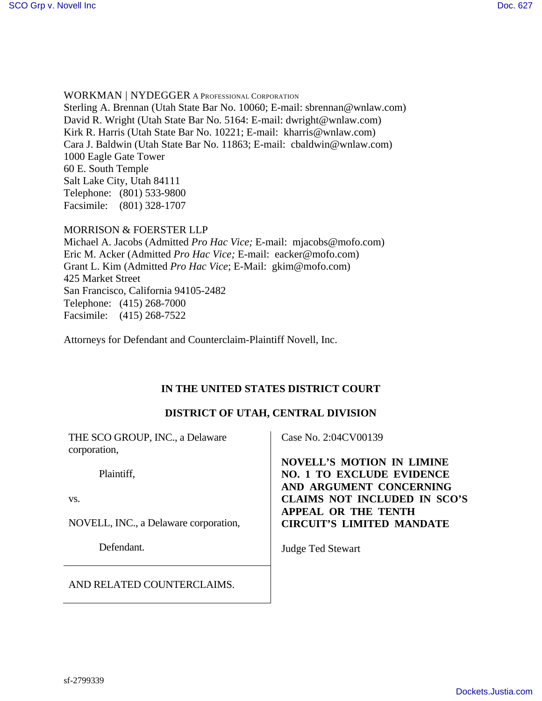WORKMAN | NYDEGGER A PROFESSIONAL CORPORATION Sterling A. Brennan (Utah State Bar No. 10060; E-mail: sbrennan@wnlaw.com) David R. Wright (Utah State Bar No. 5164: E-mail: dwright@wnlaw.com) Kirk R. Harris (Utah State Bar No. 10221; E-mail: kharris@wnlaw.com) Cara J. Baldwin (Utah State Bar No. 11863; E-mail: cbaldwin@wnlaw.com) 1000 Eagle Gate Tower 60 E. South Temple Salt Lake City, Utah 84111 Telephone: (801) 533-9800 Facsimile: (801) 328-1707

#### MORRISON & FOERSTER LLP

Michael A. Jacobs (Admitted *Pro Hac Vice;* E-mail: mjacobs@mofo.com) Eric M. Acker (Admitted *Pro Hac Vice;* E-mail: eacker@mofo.com) Grant L. Kim (Admitted *Pro Hac Vice*; E-Mail: gkim@mofo.com) 425 Market Street San Francisco, California 94105-2482 Telephone: (415) 268-7000 Facsimile: (415) 268-7522

Attorneys for Defendant and Counterclaim-Plaintiff Novell, Inc.

# **IN THE UNITED STATES DISTRICT COURT**

# **DISTRICT OF UTAH, CENTRAL DIVISION**

| THE SCO GROUP, INC., a Delaware<br>corporation, | Case No. 2:04CV00139                                                                            |
|-------------------------------------------------|-------------------------------------------------------------------------------------------------|
| Plaintiff,                                      | <b>NOVELL'S MOTION IN LIMINE</b><br><b>NO. 1 TO EXCLUDE EVIDENCE</b><br>AND ARGUMENT CONCERNING |
| VS.                                             | <b>CLAIMS NOT INCLUDED IN SCO'S</b>                                                             |
| NOVELL, INC., a Delaware corporation,           | <b>APPEAL OR THE TENTH</b><br><b>CIRCUIT'S LIMITED MANDATE</b>                                  |
| Defendant.                                      | <b>Judge Ted Stewart</b>                                                                        |
| AND RELATED COUNTERCLAIMS.                      |                                                                                                 |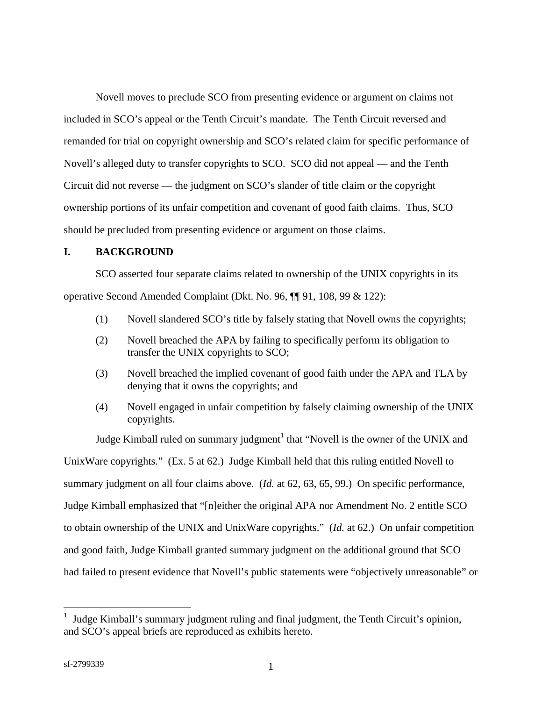Novell moves to preclude SCO from presenting evidence or argument on claims not included in SCO's appeal or the Tenth Circuit's mandate. The Tenth Circuit reversed and remanded for trial on copyright ownership and SCO's related claim for specific performance of Novell's alleged duty to transfer copyrights to SCO. SCO did not appeal — and the Tenth Circuit did not reverse — the judgment on SCO's slander of title claim or the copyright ownership portions of its unfair competition and covenant of good faith claims. Thus, SCO should be precluded from presenting evidence or argument on those claims.

### **I. BACKGROUND**

SCO asserted four separate claims related to ownership of the UNIX copyrights in its operative Second Amended Complaint (Dkt. No. 96, ¶¶ 91, 108, 99 & 122):

- (1) Novell slandered SCO's title by falsely stating that Novell owns the copyrights;
- (2) Novell breached the APA by failing to specifically perform its obligation to transfer the UNIX copyrights to SCO;
- (3) Novell breached the implied covenant of good faith under the APA and TLA by denying that it owns the copyrights; and
- (4) Novell engaged in unfair competition by falsely claiming ownership of the UNIX copyrights.

Judge Kimball ruled on summary judgment<sup>1</sup> that "Novell is the owner of the UNIX and UnixWare copyrights." (Ex. 5 at 62.) Judge Kimball held that this ruling entitled Novell to summary judgment on all four claims above. (*Id.* at 62, 63, 65, 99.) On specific performance, Judge Kimball emphasized that "[n]either the original APA nor Amendment No. 2 entitle SCO to obtain ownership of the UNIX and UnixWare copyrights." (*Id.* at 62.) On unfair competition and good faith, Judge Kimball granted summary judgment on the additional ground that SCO had failed to present evidence that Novell's public statements were "objectively unreasonable" or

 $\overline{a}$ 

<sup>1</sup> Judge Kimball's summary judgment ruling and final judgment, the Tenth Circuit's opinion, and SCO's appeal briefs are reproduced as exhibits hereto.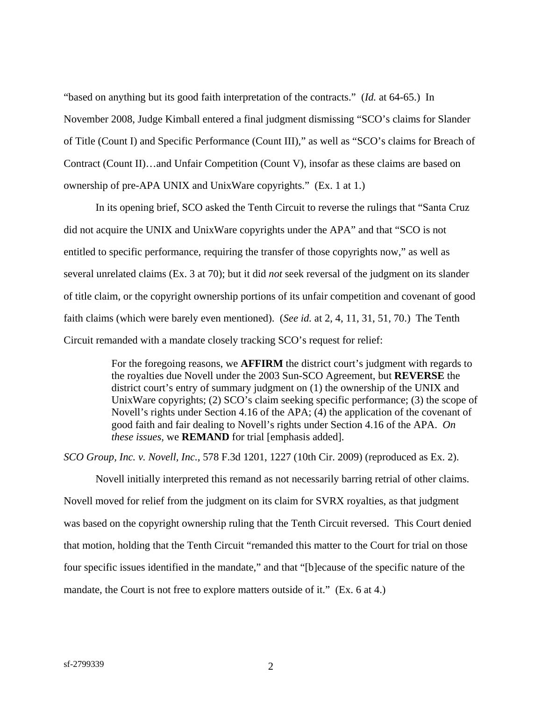"based on anything but its good faith interpretation of the contracts." (*Id.* at 64-65.) In November 2008, Judge Kimball entered a final judgment dismissing "SCO's claims for Slander of Title (Count I) and Specific Performance (Count III)," as well as "SCO's claims for Breach of Contract (Count II)…and Unfair Competition (Count V), insofar as these claims are based on ownership of pre-APA UNIX and UnixWare copyrights." (Ex. 1 at 1.)

In its opening brief, SCO asked the Tenth Circuit to reverse the rulings that "Santa Cruz did not acquire the UNIX and UnixWare copyrights under the APA" and that "SCO is not entitled to specific performance, requiring the transfer of those copyrights now," as well as several unrelated claims (Ex. 3 at 70); but it did *not* seek reversal of the judgment on its slander of title claim, or the copyright ownership portions of its unfair competition and covenant of good faith claims (which were barely even mentioned). (*See id.* at 2, 4, 11, 31, 51, 70.) The Tenth Circuit remanded with a mandate closely tracking SCO's request for relief:

> For the foregoing reasons, we **AFFIRM** the district court's judgment with regards to the royalties due Novell under the 2003 Sun-SCO Agreement, but **REVERSE** the district court's entry of summary judgment on (1) the ownership of the UNIX and UnixWare copyrights; (2) SCO's claim seeking specific performance; (3) the scope of Novell's rights under Section 4.16 of the APA; (4) the application of the covenant of good faith and fair dealing to Novell's rights under Section 4.16 of the APA. *On these issues,* we **REMAND** for trial [emphasis added].

*SCO Group, Inc. v. Novell, Inc.,* 578 F.3d 1201, 1227 (10th Cir. 2009) (reproduced as Ex. 2).

Novell initially interpreted this remand as not necessarily barring retrial of other claims. Novell moved for relief from the judgment on its claim for SVRX royalties, as that judgment was based on the copyright ownership ruling that the Tenth Circuit reversed. This Court denied that motion, holding that the Tenth Circuit "remanded this matter to the Court for trial on those four specific issues identified in the mandate," and that "[b]ecause of the specific nature of the mandate, the Court is not free to explore matters outside of it." (Ex. 6 at 4.)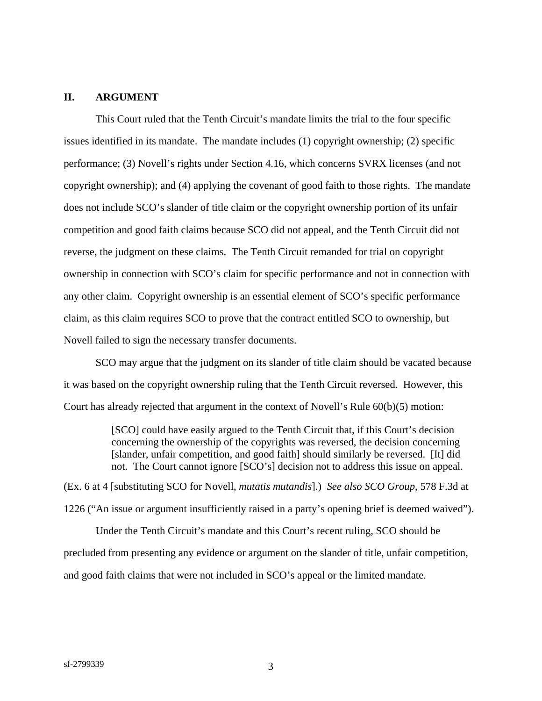#### **II. ARGUMENT**

This Court ruled that the Tenth Circuit's mandate limits the trial to the four specific issues identified in its mandate. The mandate includes (1) copyright ownership; (2) specific performance; (3) Novell's rights under Section 4.16, which concerns SVRX licenses (and not copyright ownership); and (4) applying the covenant of good faith to those rights. The mandate does not include SCO's slander of title claim or the copyright ownership portion of its unfair competition and good faith claims because SCO did not appeal, and the Tenth Circuit did not reverse, the judgment on these claims. The Tenth Circuit remanded for trial on copyright ownership in connection with SCO's claim for specific performance and not in connection with any other claim. Copyright ownership is an essential element of SCO's specific performance claim, as this claim requires SCO to prove that the contract entitled SCO to ownership, but Novell failed to sign the necessary transfer documents.

SCO may argue that the judgment on its slander of title claim should be vacated because it was based on the copyright ownership ruling that the Tenth Circuit reversed. However, this Court has already rejected that argument in the context of Novell's Rule 60(b)(5) motion:

> [SCO] could have easily argued to the Tenth Circuit that, if this Court's decision concerning the ownership of the copyrights was reversed, the decision concerning [slander, unfair competition, and good faith] should similarly be reversed. [It] did not. The Court cannot ignore [SCO's] decision not to address this issue on appeal.

(Ex. 6 at 4 [substituting SCO for Novell, *mutatis mutandis*].) *See also SCO Group*, 578 F.3d at 1226 ("An issue or argument insufficiently raised in a party's opening brief is deemed waived").

Under the Tenth Circuit's mandate and this Court's recent ruling, SCO should be precluded from presenting any evidence or argument on the slander of title, unfair competition, and good faith claims that were not included in SCO's appeal or the limited mandate.